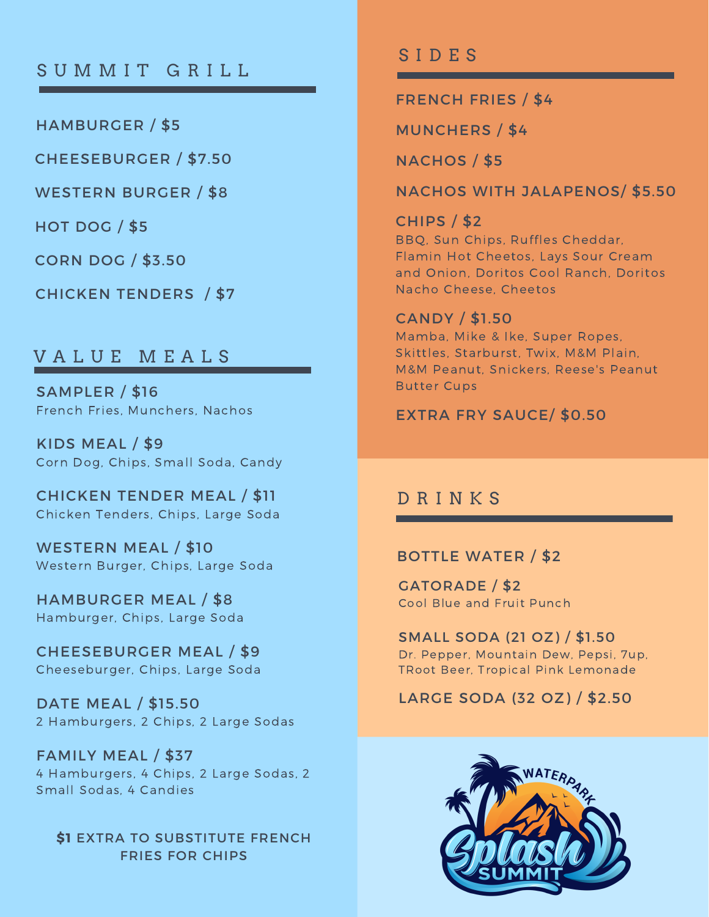# SUMMIT GRILL

HAMBURGER / \$5

CHEESEBURGER / \$7.50

WESTERN BURGER / \$8

HOT DOG / \$5

CORN DOG / \$3.50

CHICKEN TENDERS / \$7

## V A L U E M E A L S

SAMPLER / \$16 French Fries, Munchers, Nachos

KIDS MEAL / \$9 Corn Dog, Chips, Small Soda, Candy

CHICKEN TENDER MEAL / \$11 Chicken Tenders, Chips, Large Soda

WESTERN MEAL / \$10 Western Burger, Chips, Large Soda

HAMBURGER MEAL / \$8 Hamburger, Chips, Large Soda

CHEESEBURGER MEAL / \$9 Cheeseburger, Chips, Large Soda

DATE MEAL / \$15.50 2 Hamburgers, 2 Chips, 2 Large Sodas

FAMILY MEAL / \$37 4 Hamburgers, 4 Chips, 2 Large Sodas, 2 Small Sodas, 4 Candies

**\$1** EXTRA TO SUBSTITUTE FRENCH FRIES FOR CHIPS

## S I D E S

FRENCH FRIES / \$4

MUNCHERS / \$4

NACHOS / \$5

NACHOS WITH JALAPENOS/ \$5.50

CHIPS / \$2 BBQ, Sun Chips, Ruffles Cheddar, Flamin Hot Cheetos, Lays Sour Cream and Onion, Doritos Cool Ranch, Doritos Nacho Cheese, Cheetos

#### CANDY / \$1.50

Mamba, Mike & Ike, Super Ropes, Skittles, Starburst, Twix, M&M Plain, M&M Peanut, Snickers, Reese's Peanut Butter Cups

EXTRA FRY SAUCE/ \$0.50

### D R I N K S

#### BOTTLE WATER / \$2

GATORADE / \$2 Cool Blue and Fruit Punch

SMALL SODA (21 OZ) / \$1.50 Dr. Pepper, Mountain Dew, Pepsi, 7up, TRoot Beer, Tropical Pink Lemonade

### LARGE SODA (32 OZ) / \$2.50